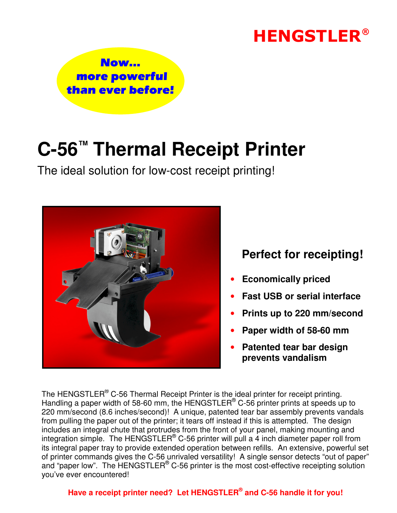# **HENGSTLER<sup>®</sup>**



# **C-56™ Thermal Receipt Printer**

The ideal solution for low-cost receipt printing!



### **Perfect for receipting!**

- **Economically priced**
- **Fast USB or serial interface**
- **Prints up to 220 mm/second**
- **Paper width of 58-60 mm**
- **Patented tear bar design prevents vandalism**

The HENGSTLER<sup>®</sup> C-56 Thermal Receipt Printer is the ideal printer for receipt printing. Handling a paper width of 58-60 mm, the HENGSTLER® C-56 printer prints at speeds up to 220 mm/second (8.6 inches/second)! A unique, patented tear bar assembly prevents vandals from pulling the paper out of the printer; it tears off instead if this is attempted. The design includes an integral chute that protrudes from the front of your panel, making mounting and integration simple. The HENGSTLER® C-56 printer will pull a 4 inch diameter paper roll from its integral paper tray to provide extended operation between refills. An extensive, powerful set of printer commands gives the C-56 unrivaled versatility! A single sensor detects "out of paper" and "paper low". The HENGSTLER® C-56 printer is the most cost-effective receipting solution you've ever encountered!

#### **Have a receipt printer need? Let HENGSTLER® and C-56 handle it for you!**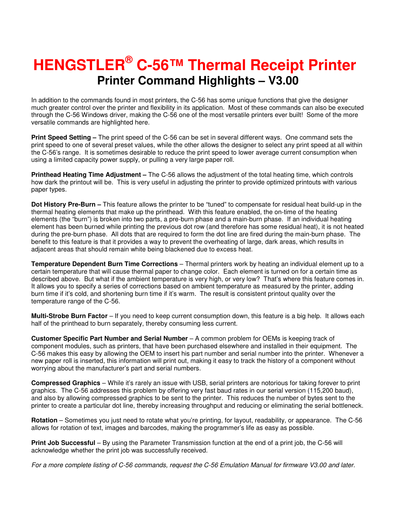### **Printer Command Highlights – V3.00 HENGSTLER® C-56™ Thermal Receipt Printer**

In addition to the commands found in most printers, the C-56 has some unique functions that give the designer much greater control over the printer and flexibility in its application. Most of these commands can also be executed through the C-56 Windows driver, making the C-56 one of the most versatile printers ever built! Some of the more versatile commands are highlighted here.

**Print Speed Setting –** The print speed of the C-56 can be set in several different ways. One command sets the print speed to one of several preset values, while the other allows the designer to select any print speed at all within the C-56's range. It is sometimes desirable to reduce the print speed to lower average current consumption when using a limited capacity power supply, or pulling a very large paper roll.

**Printhead Heating Time Adjustment –** The C-56 allows the adjustment of the total heating time, which controls how dark the printout will be. This is very useful in adjusting the printer to provide optimized printouts with various paper types.

**Dot History Pre-Burn –** This feature allows the printer to be "tuned" to compensate for residual heat build-up in the thermal heating elements that make up the printhead. With this feature enabled, the on-time of the heating elements (the "burn") is broken into two parts, a pre-burn phase and a main-burn phase. If an individual heating element has been burned while printing the previous dot row (and therefore has some residual heat), it is not heated during the pre-burn phase. All dots that are required to form the dot line are fired during the main-burn phase. The benefit to this feature is that it provides a way to prevent the overheating of large, dark areas, which results in adjacent areas that should remain white being blackened due to excess heat.

**Temperature Dependent Burn Time Corrections** – Thermal printers work by heating an individual element up to a certain temperature that will cause thermal paper to change color. Each element is turned on for a certain time as described above. But what if the ambient temperature is very high, or very low? That's where this feature comes in. It allows you to specify a series of corrections based on ambient temperature as measured by the printer, adding burn time if it's cold, and shortening burn time if it's warm. The result is consistent printout quality over the temperature range of the C-56.

**Multi-Strobe Burn Factor** – If you need to keep current consumption down, this feature is a big help. It allows each half of the printhead to burn separately, thereby consuming less current.

**Customer Specific Part Number and Serial Number** – A common problem for OEMs is keeping track of component modules, such as printers, that have been purchased elsewhere and installed in their equipment. The C-56 makes this easy by allowing the OEM to insert his part number and serial number into the printer. Whenever a new paper roll is inserted, this information will print out, making it easy to track the history of a component without worrying about the manufacturer's part and serial numbers.

**Compressed Graphics** – While it's rarely an issue with USB, serial printers are notorious for taking forever to print graphics. The C-56 addresses this problem by offering very fast baud rates in our serial version (115,200 baud), and also by allowing compressed graphics to be sent to the printer. This reduces the number of bytes sent to the printer to create a particular dot line, thereby increasing throughput and reducing or eliminating the serial bottleneck.

**Rotation** – Sometimes you just need to rotate what you're printing, for layout, readability, or appearance. The C-56 allows for rotation of text, images and barcodes, making the programmer's life as easy as possible.

**Print Job Successful** – By using the Parameter Transmission function at the end of a print job, the C-56 will acknowledge whether the print job was successfully received.

For a more complete listing of C-56 commands, request the C-56 Emulation Manual for firmware V3.00 and later.